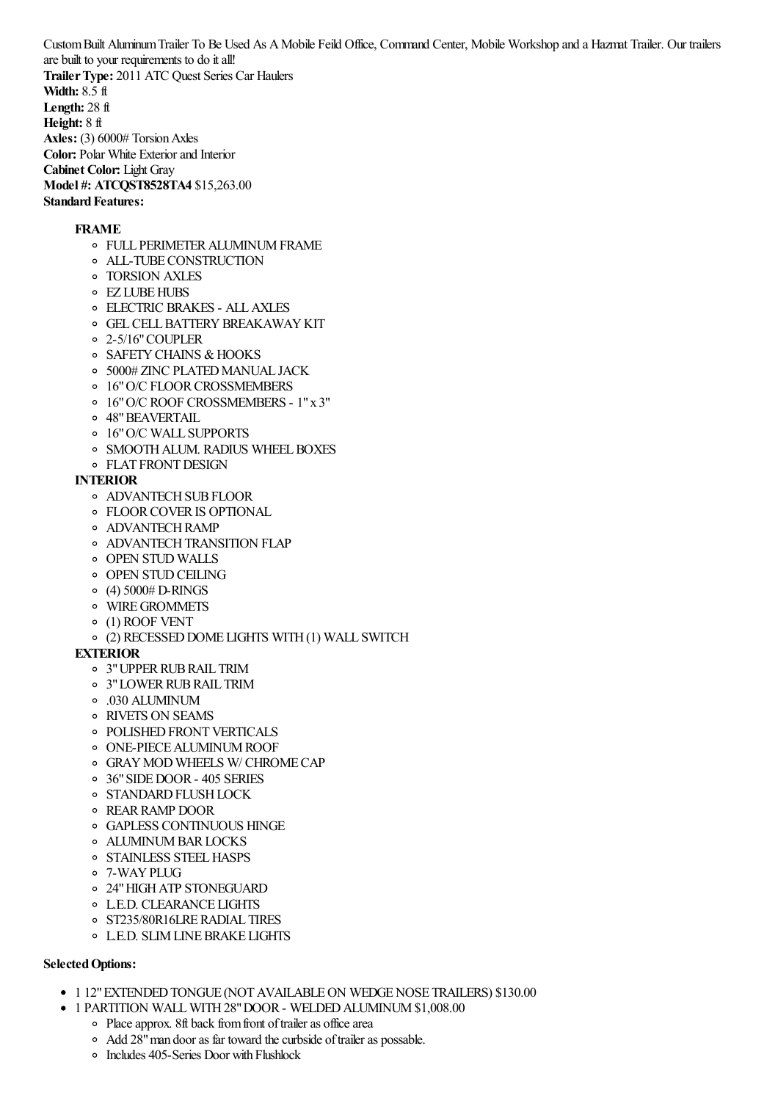CustomBuilt AluminumTrailer To Be Used As AMobile Feild Office, Command Center, Mobile Workshop and a Hazmat Trailer. Our trailers are built to your requirements to do itall! **TrailerType:** 2011 ATC Quest Series Car Haulers **Width:** 8.5 ft **Length:** 28 ft **Height:** 8 ft **Axles:** (3) 6000# Torsion Axles **Color:** Polar White Exterior and Interior **Cabinet Color:** Light Gray

**Model #: ATCQST8528TA4** \$15,263.00 **Standard Features:** 

## **FRAME**

- FULL PERIMETERALUMINUMFRAME
- ALL-TUBECONSTRUCTION
- TORSION AXLES
- EZ LUBEHUBS
- ELECTRIC BRAKES ALLAXLES
- **O GEL CELL BATTERY BREAKAWAY KIT**
- 2-5/16"COUPLER
- **O SAFETY CHAINS & HOOKS**
- <sup>o</sup> 5000# ZINC PLATED MANUAL JACK
- o 16" O/C FLOOR CROSSMEMBERS
- 16"O/C ROOF CROSSMEMBERS 1"x 3"
- 48"BEAVERTAIL
- 16"O/C WALL SUPPORTS
- o SMOOTH ALUM. RADIUS WHEEL BOXES
- **O** FLAT FRONT DESIGN

### **INTERIOR**

- **O ADVANTECH SUB FLOOR**
- FLOORCOVERIS OPTIONAL
- **O** ADVANTECH RAMP
- **O ADVANTECH TRANSITION FLAP**
- OPEN STUD WALLS
- **OPEN STUD CEILING**
- $\circ$  (4) 5000# D-RINGS
- WIREGROMMETS
- (1) ROOF VENT
- (2) RECESSEDDOME LIGHTS WITH(1) WALL SWITCH

# **EXTERIOR**

- 3"UPPERRUBRAIL TRIM
- 3"LOWERRUBRAIL TRIM
- .030 ALUMINUM
- RIVETS ON SEAMS
- o POLISHED FRONT VERTICALS
- **ONE-PIECE ALUMINUM ROOF**
- GRAYMOD WHEELS W/ CHROMECAP
- 36"SIDEDOOR- 405 SERIES
- o STANDARD FLUSH LOCK
- REARRAMP DOOR
- GAPLESS CONTINUOUS HINGE
- ALUMINUMBARLOCKS
- o STAINLESS STEEL HASPS
- 7-WAYPLUG
- 24"HIGHATP STONEGUARD
- L.E.D. CLEARANCE LIGHTS
- o ST235/80R16LRE RADIAL TIRES
- L.E.D. SLIMLINEBRAKE LIGHTS

### **SelectedOptions:**

- 1 12" EXTENDED TONGUE (NOT AVAILABLE ON WEDGE NOSE TRAILERS) \$130.00
- 1 PARTITION WALLWITH28"DOOR- WELDEDALUMINUM\$1,008.00
	- Place approx. 8ft back from front of trailer as office area
	- <sup>o</sup> Add 28" man door as far toward the curbside of trailer as possable.
	- Includes 405-Series Door with Flushlock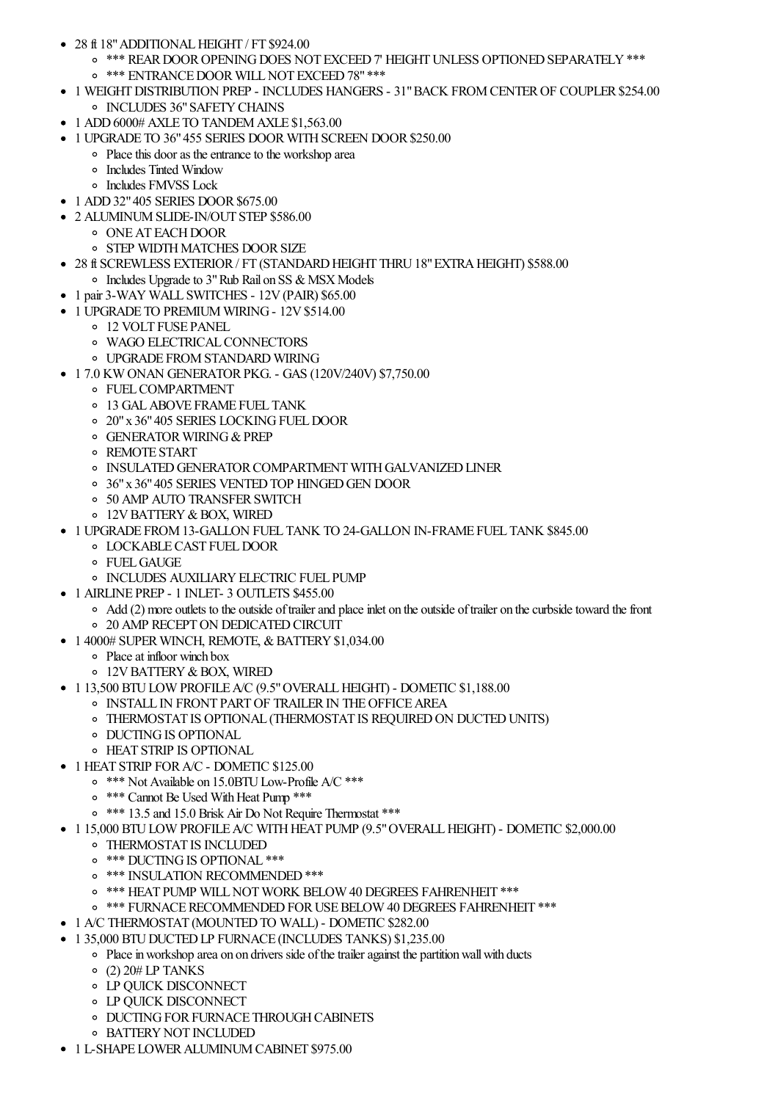- $\bullet$  28 ft 18" ADDITIONAL HEIGHT / FT \$924.00
	- <sup>o</sup> \*\*\* REAR DOOR OPENING DOES NOT EXCEED 7' HEIGHT UNLESS OPTIONED SEPARATELY \*\*\*
	- o \*\*\* ENTRANCE DOOR WILL NOT EXCEED 78" \*\*\*
- 1 WEIGHT DISTRIBUTION PREP INCLUDES HANGERS 31" BACK FROM CENTER OF COUPLER \$254.00 **O INCLUDES 36" SAFETY CHAINS**
- 1 ADD 6000# AXLE TO TANDEM AXLE \$1,563.00
- 1 UPGRADE TO 36" 455 SERIES DOOR WITH SCREEN DOOR \$250.00
	- Place this door as the entrance to the workshop area
		- **•** Includes Tinted Window
		- o Includes FMVSS Lock
- 1 ADD 32" 405 SERIES DOOR \$675.00
- 2 ALUMINUM SLIDE-IN/OUT STEP \$586.00
	- **ONE AT EACH DOOR**
	- **O STEP WIDTH MATCHES DOOR SIZE**
- 28 ft SCREWLESS EXTERIOR / FT (STANDARD HEIGHT THRU 18" EXTRA HEIGHT) \$588.00
	- o Includes Upgrade to 3" Rub Rail on SS & MSX Models
- 1 pair 3-WAY WALL SWITCHES 12V (PAIR) \$65.00
- 1 UPGRADE TO PREMIUM WIRING 12V \$514.00
	- <sup>o</sup> 12 VOLT FUSE PANEL
	- **O WAGO ELECTRICAL CONNECTORS**
	- **O UPGRADE FROM STANDARD WIRING**
- 17.0 KW ONAN GENERATOR PKG. GAS (120V/240V) \$7,750.00
	- **OF FUEL COMPARTMENT**
	- <sup>o</sup> 13 GAL ABOVE FRAME FUEL TANK
	- o 20" x 36" 405 SERIES LOCKING FUEL DOOR
	- **O GENERATOR WIRING & PREP**
	- REMOTE START
	- **O INSULATED GENERATOR COMPARTMENT WITH GALVANIZED LINER**
	- o 36" x 36" 405 SERIES VENTED TOP HINGED GEN DOOR
	- 50 AMP AUTO TRANSFER SWITCH
	- o 12V BATTERY & BOX, WIRED
- 1 UPGRADE FROM 13-GALLON FUEL TANK TO 24-GALLON IN-FRAME FUEL TANK \$845.00
	- **O LOCKABLE CAST FUEL DOOR**
	- o FUEL GAUGE
	- **O INCLUDES AUXILIARY ELECTRIC FUEL PUMP**
- 1 AIRLINE PREP 1 INLET- 3 OUTLETS \$455.00
	- Add (2) more outlets to the outside of trailer and place inlet on the outside of trailer on the curbside toward the front o 20 AMP RECEPT ON DEDICATED CIRCUIT
- 1 4000# SUPER WINCH, REMOTE, & BATTERY \$1,034.00
	- Place at infloor winch box
	- o 12V BATTERY & BOX, WIRED
- $\bullet$  1 13,500 BTU LOW PROFILE A/C (9.5" OVERALL HEIGHT) DOMETIC \$1,188.00
	- **O INSTALL IN FRONT PART OF TRAILER IN THE OFFICE AREA**
	- O THERMOSTAT IS OPTIONAL (THERMOSTAT IS REQUIRED ON DUCTED UNITS)
	- **ODUCTING IS OPTIONAL**
	- **O HEAT STRIP IS OPTIONAL**
- 1 HEAT STRIP FOR A/C DOMETIC \$125.00
	- <sup>o</sup> \*\*\* Not Available on 15.0BTU Low-Profile A/C \*\*\*
	- <sup>o</sup> \*\*\* Cannot Be Used With Heat Pump \*\*\*
	- <sup>o</sup> \*\*\* 13.5 and 15.0 Brisk Air Do Not Require Thermostat \*\*\*
- 1 15,000 BTU LOW PROFILE A/C WITH HEAT PUMP (9.5" OVERALL HEIGHT) DOMETIC \$2,000.00
	- **O THERMOSTAT IS INCLUDED**
	- <sup>o</sup> \*\*\* DUCTING IS OPTIONAL \*\*\*
	- <sup>o</sup> \*\*\* INSULATION RECOMMENDED \*\*\*
	- <sup>o</sup> \*\*\* HEAT PUMP WILL NOT WORK BELOW 40 DEGREES FAHRENHEIT \*\*\*
	- o \*\*\* FURNACE RECOMMENDED FOR USE BELOW 40 DEGREES FAHRENHEIT \*\*\*
- 1 A/C THERMOSTAT (MOUNTED TO WALL) DOMETIC \$282.00
- 1 35,000 BTU DUCTED LP FURNACE (INCLUDES TANKS) \$1,235,00
	- Place in workshop area on on drivers side of the trailer against the partition wall with ducts
		- $\circ$  (2) 20# LP TANKS
		- **LP OUICK DISCONNECT**
		- **O LP OUICK DISCONNECT**
		- **O DUCTING FOR FURNACE THROUGH CABINETS**
		- **BATTERY NOT INCLUDED**
- 1 L-SHAPE LOWER ALUMINUM CABINET \$975.00